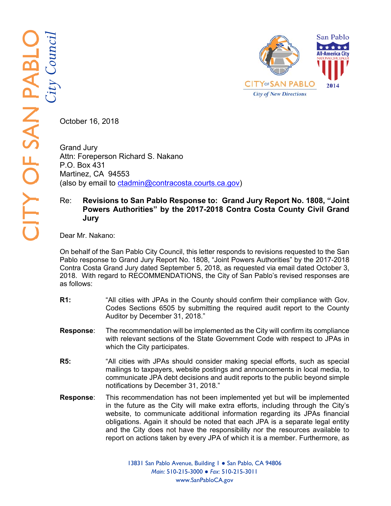

October 16, 2018

Grand Jury Attn: Foreperson Richard S. Nakano P.O. Box 431 Martinez, CA 94553 (also by email to ctadmin@contracosta.courts.ca.gov)

## Re: **Revisions to San Pablo Response to: Grand Jury Report No. 1808, "Joint Powers Authorities" by the 2017-2018 Contra Costa County Civil Grand Jury**

Dear Mr. Nakano:

On behalf of the San Pablo City Council, this letter responds to revisions requested to the San Pablo response to Grand Jury Report No. 1808, "Joint Powers Authorities" by the 2017-2018 Contra Costa Grand Jury dated September 5, 2018, as requested via email dated October 3, 2018. With regard to RECOMMENDATIONS, the City of San Pablo's revised responses are as follows:

- **R1:** "All cities with JPAs in the County should confirm their compliance with Gov. Codes Sections 6505 by submitting the required audit report to the County Auditor by December 31, 2018."
- **Response**: The recommendation will be implemented as the City will confirm its compliance with relevant sections of the State Government Code with respect to JPAs in which the City participates.
- **R5:** "All cities with JPAs should consider making special efforts, such as special mailings to taxpayers, website postings and announcements in local media, to communicate JPA debt decisions and audit reports to the public beyond simple notifications by December 31, 2018."
- **Response**: This recommendation has not been implemented yet but will be implemented in the future as the City will make extra efforts, including through the City's website, to communicate additional information regarding its JPAs financial obligations. Again it should be noted that each JPA is a separate legal entity and the City does not have the responsibility nor the resources available to report on actions taken by every JPA of which it is a member. Furthermore, as